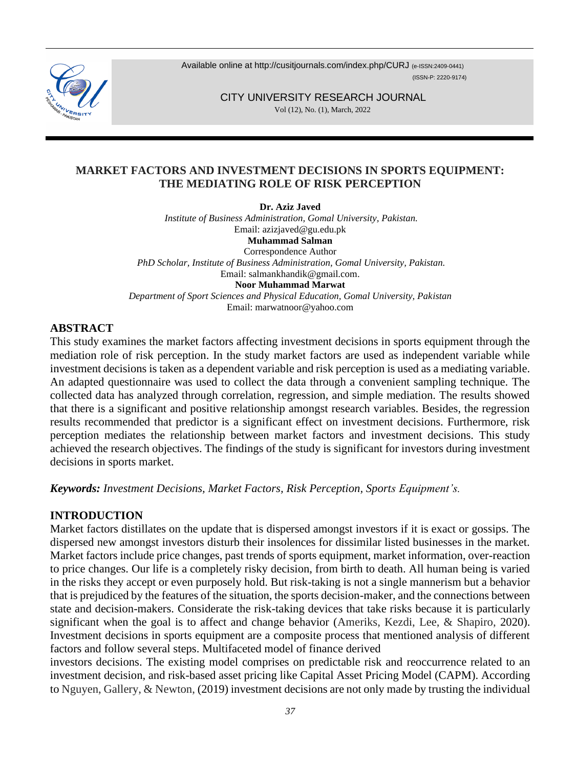

Available online at <http://cusitjournals.com/index.php/CURJ> (e-ISSN:2409-0441) (ISSN-P: 2220-9174)

CITY UNIVERSITY RESEARCH JOURNAL

Vol (12), No. (1), March, 2022

# **MARKET FACTORS AND INVESTMENT DECISIONS IN SPORTS EQUIPMENT: THE MEDIATING ROLE OF RISK PERCEPTION**

**Dr. Aziz Javed** *Institute of Business Administration, Gomal University, Pakistan.* Email: [azizjaved@gu.edu.pk](mailto:azizjaved@gu.edu.pk) **Muhammad Salman**  Correspondence Author *PhD Scholar, Institute of Business Administration, Gomal University, Pakistan.*  Email: [salmankhandik@gmail.com.](mailto:salmankhandik@gmail.com)  **Noor Muhammad Marwat** *Department of Sport Sciences and Physical Education, Gomal University, Pakistan* Email[: marwatnoor@yahoo.com](mailto:marwatnoor@yahoo.com)

# **ABSTRACT**

This study examines the market factors affecting investment decisions in sports equipment through the mediation role of risk perception. In the study market factors are used as independent variable while investment decisions is taken as a dependent variable and risk perception is used as a mediating variable. An adapted questionnaire was used to collect the data through a convenient sampling technique. The collected data has analyzed through correlation, regression, and simple mediation. The results showed that there is a significant and positive relationship amongst research variables. Besides, the regression results recommended that predictor is a significant effect on investment decisions. Furthermore, risk perception mediates the relationship between market factors and investment decisions. This study achieved the research objectives. The findings of the study is significant for investors during investment decisions in sports market.

*Keywords: Investment Decisions, Market Factors, Risk Perception, Sports Equipment's.*

# **INTRODUCTION**

Market factors distillates on the update that is dispersed amongst investors if it is exact or gossips. The dispersed new amongst investors disturb their insolences for dissimilar listed businesses in the market. Market factors include price changes, past trends of sports equipment, market information, over-reaction to price changes. Our life is a completely risky decision, from birth to death. All human being is varied in the risks they accept or even purposely hold. But risk-taking is not a single mannerism but a behavior that is prejudiced by the features of the situation, the sports decision-maker, and the connections between state and decision-makers. Considerate the risk-taking devices that take risks because it is particularly significant when the goal is to affect and change behavior (Ameriks, Kezdi, Lee, & Shapiro, 2020). Investment decisions in sports equipment are a composite process that mentioned analysis of different factors and follow several steps. Multifaceted model of finance derived

investors decisions. The existing model comprises on predictable risk and reoccurrence related to an investment decision, and risk-based asset pricing like Capital Asset Pricing Model (CAPM). According to Nguyen, Gallery, & Newton, (2019) investment decisions are not only made by trusting the individual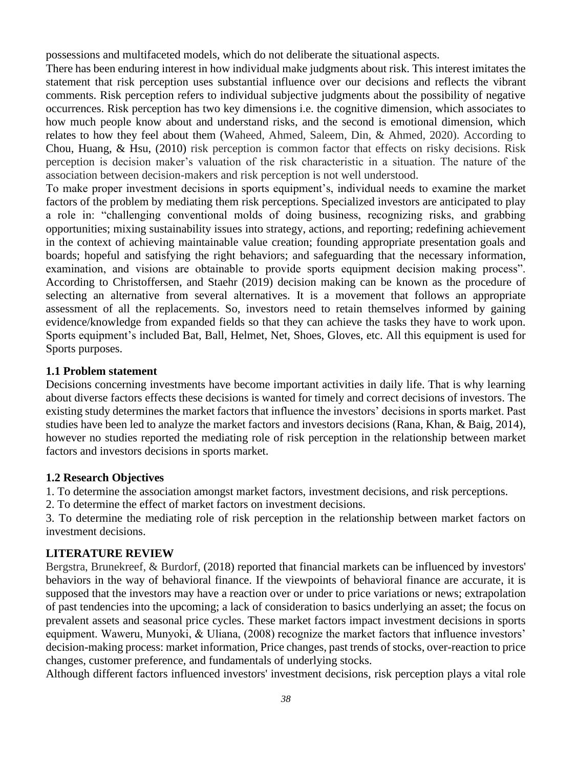possessions and multifaceted models, which do not deliberate the situational aspects.

There has been enduring interest in how individual make judgments about risk. This interest imitates the statement that risk perception uses substantial influence over our decisions and reflects the vibrant comments. Risk perception refers to individual subjective judgments about the possibility of negative occurrences. Risk perception has two key dimensions i.e. the cognitive dimension, which associates to how much people know about and understand risks, and the second is emotional dimension, which relates to how they feel about them (Waheed, Ahmed, Saleem, Din, & Ahmed, 2020). According to Chou, Huang, & Hsu, (2010) risk perception is common factor that effects on risky decisions. Risk perception is decision maker's valuation of the risk characteristic in a situation. The nature of the association between decision-makers and risk perception is not well understood.

To make proper investment decisions in sports equipment's, individual needs to examine the market factors of the problem by mediating them risk perceptions. Specialized investors are anticipated to play a role in: "challenging conventional molds of doing business, recognizing risks, and grabbing opportunities; mixing sustainability issues into strategy, actions, and reporting; redefining achievement in the context of achieving maintainable value creation; founding appropriate presentation goals and boards; hopeful and satisfying the right behaviors; and safeguarding that the necessary information, examination, and visions are obtainable to provide sports equipment decision making process". According to Christoffersen, and Staehr (2019) decision making can be known as the procedure of selecting an alternative from several alternatives. It is a movement that follows an appropriate assessment of all the replacements. So, investors need to retain themselves informed by gaining evidence/knowledge from expanded fields so that they can achieve the tasks they have to work upon. Sports equipment's included Bat, Ball, Helmet, Net, Shoes, Gloves, etc. All this equipment is used for Sports purposes.

## **1.1 Problem statement**

Decisions concerning investments have become important activities in daily life. That is why learning about diverse factors effects these decisions is wanted for timely and correct decisions of investors. The existing study determines the market factors that influence the investors' decisions in sports market. Past studies have been led to analyze the market factors and investors decisions (Rana, Khan, & Baig, 2014), however no studies reported the mediating role of risk perception in the relationship between market factors and investors decisions in sports market.

## **1.2 Research Objectives**

1. To determine the association amongst market factors, investment decisions, and risk perceptions.

2. To determine the effect of market factors on investment decisions.

3. To determine the mediating role of risk perception in the relationship between market factors on investment decisions.

## **LITERATURE REVIEW**

Bergstra, Brunekreef, & Burdorf, (2018) reported that financial markets can be influenced by investors' behaviors in the way of behavioral finance. If the viewpoints of behavioral finance are accurate, it is supposed that the investors may have a reaction over or under to price variations or news; extrapolation of past tendencies into the upcoming; a lack of consideration to basics underlying an asset; the focus on prevalent assets and seasonal price cycles. These market factors impact investment decisions in sports equipment. Waweru, Munyoki, & Uliana, (2008) recognize the market factors that influence investors' decision-making process: market information, Price changes, past trends of stocks, over-reaction to price changes, customer preference, and fundamentals of underlying stocks.

Although different factors influenced investors' investment decisions, risk perception plays a vital role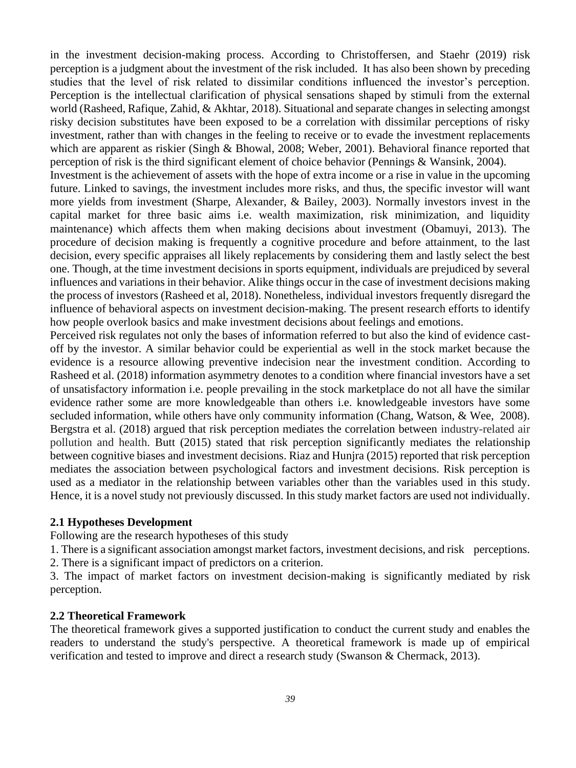in the investment decision-making process. According to Christoffersen, and Staehr (2019) risk perception is a judgment about the investment of the risk included. It has also been shown by preceding studies that the level of risk related to dissimilar conditions influenced the investor's perception. Perception is the intellectual clarification of physical sensations shaped by stimuli from the external world (Rasheed, Rafique, Zahid, & Akhtar, 2018). Situational and separate changes in selecting amongst risky decision substitutes have been exposed to be a correlation with dissimilar perceptions of risky investment, rather than with changes in the feeling to receive or to evade the investment replacements which are apparent as riskier (Singh & Bhowal, 2008; Weber, 2001). Behavioral finance reported that perception of risk is the third significant element of choice behavior (Pennings & Wansink, 2004).

Investment is the achievement of assets with the hope of extra income or a rise in value in the upcoming future. Linked to savings, the investment includes more risks, and thus, the specific investor will want more yields from investment (Sharpe, Alexander, & Bailey, 2003). Normally investors invest in the capital market for three basic aims i.e. wealth maximization, risk minimization, and liquidity maintenance) which affects them when making decisions about investment (Obamuyi, 2013). The procedure of decision making is frequently a cognitive procedure and before attainment, to the last decision, every specific appraises all likely replacements by considering them and lastly select the best one. Though, at the time investment decisions in sports equipment, individuals are prejudiced by several influences and variations in their behavior. Alike things occur in the case of investment decisions making the process of investors (Rasheed et al, 2018). Nonetheless, individual investors frequently disregard the influence of behavioral aspects on investment decision-making. The present research efforts to identify how people overlook basics and make investment decisions about feelings and emotions.

Perceived risk regulates not only the bases of information referred to but also the kind of evidence castoff by the investor. A similar behavior could be experiential as well in the stock market because the evidence is a resource allowing preventive indecision near the investment condition. According to Rasheed et al. (2018) information asymmetry denotes to a condition where financial investors have a set of unsatisfactory information i.e. people prevailing in the stock marketplace do not all have the similar evidence rather some are more knowledgeable than others i.e. knowledgeable investors have some secluded information, while others have only community information (Chang, Watson, & Wee, 2008). Bergstra et al. (2018) argued that risk perception mediates the correlation between industry-related air pollution and health. Butt (2015) stated that risk perception significantly mediates the relationship between cognitive biases and investment decisions. Riaz and Hunjra (2015) reported that risk perception mediates the association between psychological factors and investment decisions. Risk perception is used as a mediator in the relationship between variables other than the variables used in this study. Hence, it is a novel study not previously discussed. In this study market factors are used not individually.

#### **2.1 Hypotheses Development**

Following are the research hypotheses of this study

1. There is a significant association amongst market factors, investment decisions, and risk perceptions.

2. There is a significant impact of predictors on a criterion.

3. The impact of market factors on investment decision-making is significantly mediated by risk perception.

#### **2.2 Theoretical Framework**

The theoretical framework gives a supported justification to conduct the current study and enables the readers to understand the study's perspective. A theoretical framework is made up of empirical verification and tested to improve and direct a research study (Swanson & Chermack, 2013).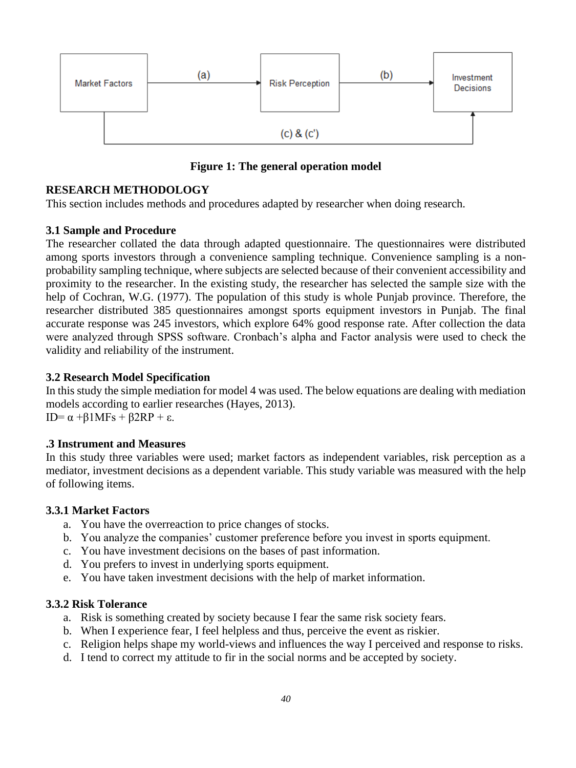

**Figure 1: The general operation model**

# **RESEARCH METHODOLOGY**

This section includes methods and procedures adapted by researcher when doing research.

#### **3.1 Sample and Procedure**

The researcher collated the data through adapted questionnaire. The questionnaires were distributed among sports investors through a convenience sampling technique. Convenience sampling is a nonprobability sampling technique, where subjects are selected because of their convenient accessibility and proximity to the researcher. In the existing study, the researcher has selected the sample size with the help of Cochran, W.G. (1977). The population of this study is whole Punjab province. Therefore, the researcher distributed 385 questionnaires amongst sports equipment investors in Punjab. The final accurate response was 245 investors, which explore 64% good response rate. After collection the data were analyzed through SPSS software. Cronbach's alpha and Factor analysis were used to check the validity and reliability of the instrument.

## **3.2 Research Model Specification**

In this study the simple mediation for model 4 was used. The below equations are dealing with mediation models according to earlier researches (Hayes, 2013). ID= α +β1MFs + β2RP + ε.

## **.3 Instrument and Measures**

In this study three variables were used; market factors as independent variables, risk perception as a mediator, investment decisions as a dependent variable. This study variable was measured with the help of following items.

#### **3.3.1 Market Factors**

- a. You have the overreaction to price changes of stocks.
- b. You analyze the companies' customer preference before you invest in sports equipment.
- c. You have investment decisions on the bases of past information.
- d. You prefers to invest in underlying sports equipment.
- e. You have taken investment decisions with the help of market information.

#### **3.3.2 Risk Tolerance**

- a. Risk is something created by society because I fear the same risk society fears.
- b. When I experience fear, I feel helpless and thus, perceive the event as riskier.
- c. Religion helps shape my world-views and influences the way I perceived and response to risks.
- d. I tend to correct my attitude to fir in the social norms and be accepted by society.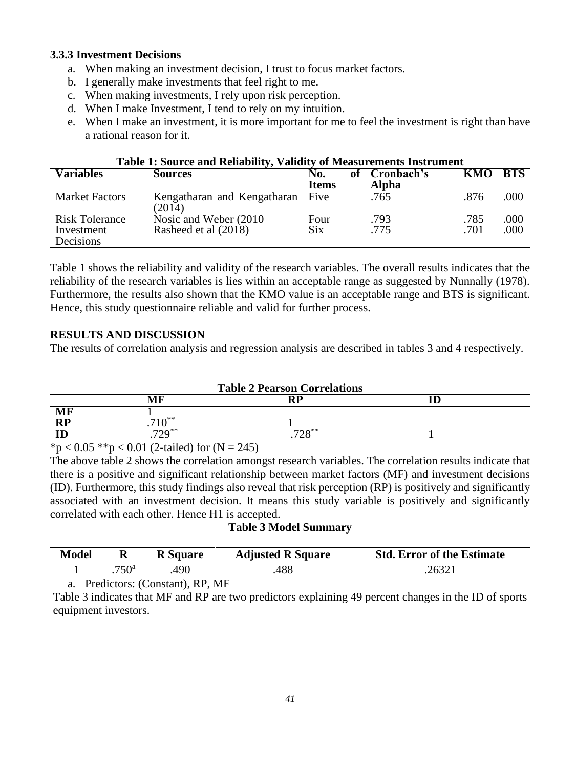# **3.3.3 Investment Decisions**

- a. When making an investment decision, I trust to focus market factors.
- b. I generally make investments that feel right to me.
- c. When making investments, I rely upon risk perception.
- d. When I make Investment, I tend to rely on my intuition.
- e. When I make an investment, it is more important for me to feel the investment is right than have a rational reason for it.

| Table 1: Source and Reliability, Validity of Measurements Instrument |                                                |                     |    |                     |              |              |  |  |  |
|----------------------------------------------------------------------|------------------------------------------------|---------------------|----|---------------------|--------------|--------------|--|--|--|
| <b>Variables</b>                                                     | <b>Sources</b>                                 | No.<br><b>Items</b> | оf | Cronbach's<br>Alpha | KMO          | <b>BTS</b>   |  |  |  |
| <b>Market Factors</b>                                                | Kengatharan and Kengatharan<br>(2014)          | Five                |    | .765                | .876         | .000         |  |  |  |
| <b>Risk Tolerance</b><br>Investment<br>Decisions                     | Nosic and Weber (2010)<br>Rasheed et al (2018) | Four<br><b>Six</b>  |    | .793<br>.775        | .785<br>.701 | .000<br>.000 |  |  |  |

Table 1 shows the reliability and validity of the research variables. The overall results indicates that the reliability of the research variables is lies within an acceptable range as suggested by Nunnally (1978). Furthermore, the results also shown that the KMO value is an acceptable range and BTS is significant. Hence, this study questionnaire reliable and valid for further process.

# **RESULTS AND DISCUSSION**

The results of correlation analysis and regression analysis are described in tables 3 and 4 respectively.

|                                                                                                                                                                                                                                                                                                                                                             |                                       | <b>Table 2 Pearson Correlations</b> |  |
|-------------------------------------------------------------------------------------------------------------------------------------------------------------------------------------------------------------------------------------------------------------------------------------------------------------------------------------------------------------|---------------------------------------|-------------------------------------|--|
|                                                                                                                                                                                                                                                                                                                                                             | MF                                    | RP                                  |  |
| MF                                                                                                                                                                                                                                                                                                                                                          |                                       |                                     |  |
| RP                                                                                                                                                                                                                                                                                                                                                          | $710^{**}$                            |                                     |  |
|                                                                                                                                                                                                                                                                                                                                                             |                                       | $700***$<br>120                     |  |
| $\mathcal{L}$ $\mathcal{L}$ $\mathcal{L}$ $\mathcal{L}$ $\mathcal{L}$ $\mathcal{L}$ $\mathcal{L}$ $\mathcal{L}$ $\mathcal{L}$ $\mathcal{L}$ $\mathcal{L}$ $\mathcal{L}$ $\mathcal{L}$ $\mathcal{L}$ $\mathcal{L}$ $\mathcal{L}$ $\mathcal{L}$ $\mathcal{L}$ $\mathcal{L}$ $\mathcal{L}$ $\mathcal{L}$ $\mathcal{L}$ $\mathcal{L}$ $\mathcal{L}$ $\mathcal{$ | $0.04 \times 0.01$ $0.07 \times 0.14$ |                                     |  |

 $*p < 0.05$   $**p < 0.01$  (2-tailed) for (N = 245)

The above table 2 shows the correlation amongst research variables. The correlation results indicate that there is a positive and significant relationship between market factors (MF) and investment decisions (ID). Furthermore, this study findings also reveal that risk perception (RP) is positively and significantly associated with an investment decision. It means this study variable is positively and significantly correlated with each other. Hence H1 is accepted.

## **Table 3 Model Summary**

| <b>Model</b> | R              | <b>R</b> Square | <b>Adjusted R Square</b> | <b>Std. Error of the Estimate</b> |
|--------------|----------------|-----------------|--------------------------|-----------------------------------|
|              | / $50^{\rm a}$ | 490             | 488                      |                                   |

a. Predictors: (Constant), RP, MF

Table 3 indicates that MF and RP are two predictors explaining 49 percent changes in the ID of sports equipment investors.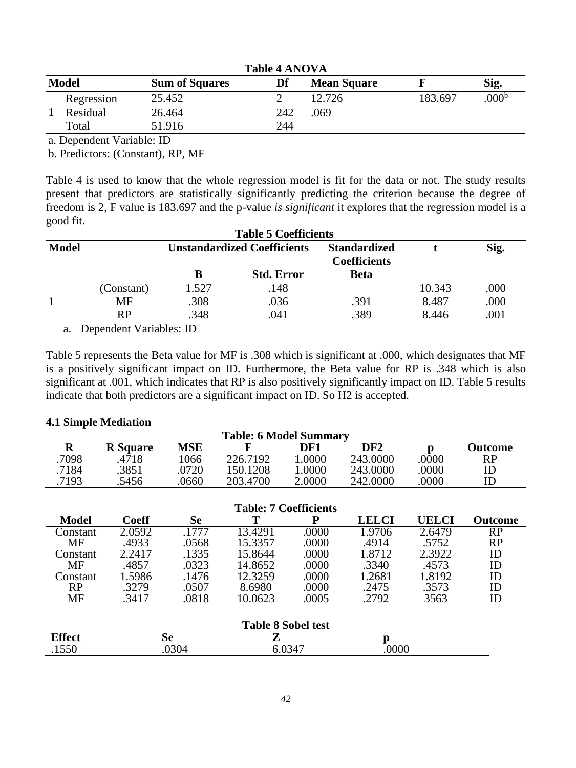| <b>Table 4 ANOVA</b> |                       |     |                    |         |                   |  |  |
|----------------------|-----------------------|-----|--------------------|---------|-------------------|--|--|
| <b>Model</b>         | <b>Sum of Squares</b> | Df  | <b>Mean Square</b> |         | Sig.              |  |  |
| Regression           | 25.452                |     | 12.726             | 183.697 | .000 <sup>b</sup> |  |  |
| Residual             | 26.464                | 242 | .069               |         |                   |  |  |
| Total                | 51.916                | 244 |                    |         |                   |  |  |

a. Dependent Variable: ID

b. Predictors: (Constant), RP, MF

Table 4 is used to know that the whole regression model is fit for the data or not. The study results present that predictors are statistically significantly predicting the criterion because the degree of freedom is 2, F value is 183.697 and the p-value *is significant* it explores that the regression model is a good fit.

| <b>Table 5 Coefficients</b> |            |       |                                    |                                            |        |      |  |  |
|-----------------------------|------------|-------|------------------------------------|--------------------------------------------|--------|------|--|--|
| <b>Model</b>                |            |       | <b>Unstandardized Coefficients</b> | <b>Standardized</b><br><b>Coefficients</b> |        | Sig. |  |  |
|                             |            |       | <b>Std. Error</b>                  | <b>Beta</b>                                |        |      |  |  |
|                             | (Constant) | 1.527 | .148                               |                                            | 10.343 | .000 |  |  |
|                             | MF         | .308  | .036                               | .391                                       | 8.487  | .000 |  |  |
|                             | RP         | .348  | .041                               | .389                                       | 8.446  | .001 |  |  |

a. Dependent Variables: ID

Table 5 represents the Beta value for MF is .308 which is significant at .000, which designates that MF is a positively significant impact on ID. Furthermore, the Beta value for RP is .348 which is also significant at .001, which indicates that RP is also positively significantly impact on ID. Table 5 results indicate that both predictors are a significant impact on ID. So H2 is accepted.

#### **4.1 Simple Mediation**

| <b>Table: 6 Model Summary</b> |                 |      |          |        |                       |      |                |  |
|-------------------------------|-----------------|------|----------|--------|-----------------------|------|----------------|--|
|                               | <b>R</b> Square | MSE  |          | DF1    | DF2                   |      | <b>Jutcome</b> |  |
| 7098                          | 4718            | .066 | 226.7192 | 0000   | $243.\overline{0000}$ | 0000 | RP             |  |
| 7184                          | .3851           | 0720 | 150.1208 | .0000  | 243,0000              | 0000 | ID             |  |
| .7193                         | .5456           | 0660 | 203.4700 | 2.0000 | 242,0000              | 0000 |                |  |

| <b>Table: 7 Coefficients</b> |        |           |         |        |        |              |                |  |
|------------------------------|--------|-----------|---------|--------|--------|--------------|----------------|--|
| <b>Model</b>                 | Coeff  | <b>Se</b> | т       | Р      | LELCI  | <b>UELCI</b> | <b>Outcome</b> |  |
| Constant                     | 2.0592 | .1777     | 13.4291 | .0000  | 1.9706 | 2.6479       | RP             |  |
| МF                           | .4933  | .0568     | 15.3357 | .0000  | .4914  | .5752        | RP             |  |
| Constant                     | 2.2417 | .1335     | 15.8644 | .0000  | 1.8712 | 2.3922       | ID             |  |
| <b>MF</b>                    | .4857  | .0323     | 14.8652 | .0000  | .3340  | .4573        | ID             |  |
| Constant                     | 1.5986 | .1476     | 12.3259 | .0000  | 1.2681 | 1.8192       | ID             |  |
| RP                           | .3279  | .0507     | 8.6980  | .0000  | .2475  | .3573        | ID             |  |
| MF                           | .3417  | .0818     | 10.0623 | .0005  | .2792  | 3563         | ID             |  |
|                              |        |           |         |        |        |              |                |  |
| <b>Table 8 Sobel test</b>    |        |           |         |        |        |              |                |  |
| <b>Effect</b>                |        | <b>Se</b> |         |        |        |              |                |  |
| 1550                         |        | .0304     |         | 6.0347 | .0000  |              |                |  |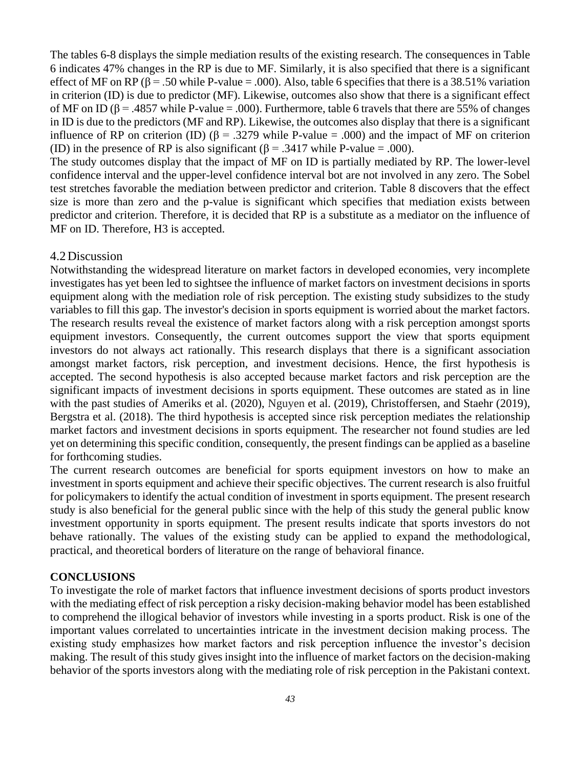The tables 6-8 displays the simple mediation results of the existing research. The consequences in Table 6 indicates 47% changes in the RP is due to MF. Similarly, it is also specified that there is a significant effect of MF on RP ( $\beta$  = .50 while P-value = .000). Also, table 6 specifies that there is a 38.51% variation in criterion (ID) is due to predictor (MF). Likewise, outcomes also show that there is a significant effect of MF on ID ( $\beta$  = .4857 while P-value = .000). Furthermore, table 6 travels that there are 55% of changes in ID is due to the predictors (MF and RP). Likewise, the outcomes also display that there is a significant influence of RP on criterion (ID) ( $\beta$  = .3279 while P-value = .000) and the impact of MF on criterion (ID) in the presence of RP is also significant ( $\beta$  = .3417 while P-value = .000).

The study outcomes display that the impact of MF on ID is partially mediated by RP. The lower-level confidence interval and the upper-level confidence interval bot are not involved in any zero. The Sobel test stretches favorable the mediation between predictor and criterion. Table 8 discovers that the effect size is more than zero and the p-value is significant which specifies that mediation exists between predictor and criterion. Therefore, it is decided that RP is a substitute as a mediator on the influence of MF on ID. Therefore, H3 is accepted.

# 4.2Discussion

Notwithstanding the widespread literature on market factors in developed economies, very incomplete investigates has yet been led to sightsee the influence of market factors on investment decisions in sports equipment along with the mediation role of risk perception. The existing study subsidizes to the study variables to fill this gap. The investor's decision in sports equipment is worried about the market factors. The research results reveal the existence of market factors along with a risk perception amongst sports equipment investors. Consequently, the current outcomes support the view that sports equipment investors do not always act rationally. This research displays that there is a significant association amongst market factors, risk perception, and investment decisions. Hence, the first hypothesis is accepted. The second hypothesis is also accepted because market factors and risk perception are the significant impacts of investment decisions in sports equipment. These outcomes are stated as in line with the past studies of Ameriks et al. (2020), Nguyen et al. (2019), Christoffersen, and Staehr (2019), Bergstra et al. (2018). The third hypothesis is accepted since risk perception mediates the relationship market factors and investment decisions in sports equipment. The researcher not found studies are led yet on determining this specific condition, consequently, the present findings can be applied as a baseline for forthcoming studies.

The current research outcomes are beneficial for sports equipment investors on how to make an investment in sports equipment and achieve their specific objectives. The current research is also fruitful for policymakers to identify the actual condition of investment in sports equipment. The present research study is also beneficial for the general public since with the help of this study the general public know investment opportunity in sports equipment. The present results indicate that sports investors do not behave rationally. The values of the existing study can be applied to expand the methodological, practical, and theoretical borders of literature on the range of behavioral finance.

# **CONCLUSIONS**

To investigate the role of market factors that influence investment decisions of sports product investors with the mediating effect of risk perception a risky decision-making behavior model has been established to comprehend the illogical behavior of investors while investing in a sports product. Risk is one of the important values correlated to uncertainties intricate in the investment decision making process. The existing study emphasizes how market factors and risk perception influence the investor's decision making. The result of this study gives insight into the influence of market factors on the decision-making behavior of the sports investors along with the mediating role of risk perception in the Pakistani context.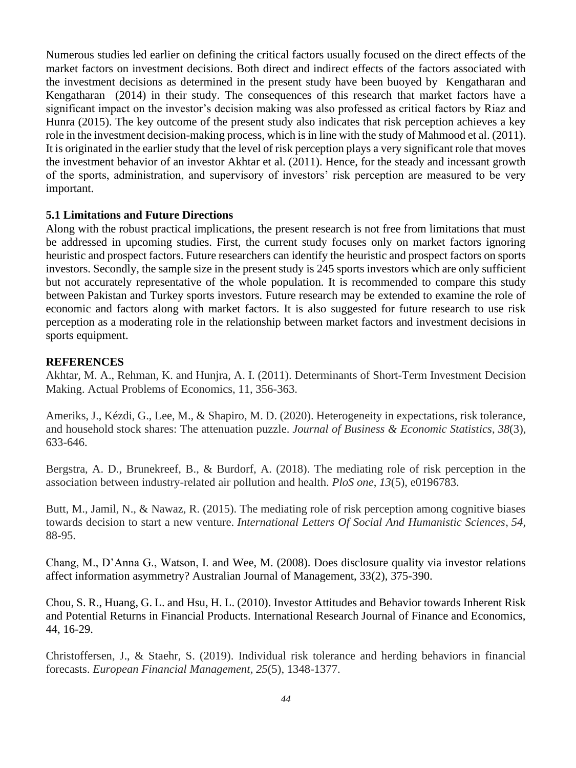Numerous studies led earlier on defining the critical factors usually focused on the direct effects of the market factors on investment decisions. Both direct and indirect effects of the factors associated with the investment decisions as determined in the present study have been buoyed by Kengatharan and Kengatharan (2014) in their study. The consequences of this research that market factors have a significant impact on the investor's decision making was also professed as critical factors by Riaz and Hunra (2015). The key outcome of the present study also indicates that risk perception achieves a key role in the investment decision-making process, which is in line with the study of Mahmood et al. (2011). It is originated in the earlier study that the level of risk perception plays a very significant role that moves the investment behavior of an investor Akhtar et al. (2011). Hence, for the steady and incessant growth of the sports, administration, and supervisory of investors' risk perception are measured to be very important.

## **5.1 Limitations and Future Directions**

Along with the robust practical implications, the present research is not free from limitations that must be addressed in upcoming studies. First, the current study focuses only on market factors ignoring heuristic and prospect factors. Future researchers can identify the heuristic and prospect factors on sports investors. Secondly, the sample size in the present study is 245 sports investors which are only sufficient but not accurately representative of the whole population. It is recommended to compare this study between Pakistan and Turkey sports investors. Future research may be extended to examine the role of economic and factors along with market factors. It is also suggested for future research to use risk perception as a moderating role in the relationship between market factors and investment decisions in sports equipment.

# **REFERENCES**

Akhtar, M. A., Rehman, K. and Hunjra, A. I. (2011). Determinants of Short-Term Investment Decision Making. Actual Problems of Economics, 11, 356-363.

Ameriks, J., Kézdi, G., Lee, M., & Shapiro, M. D. (2020). Heterogeneity in expectations, risk tolerance, and household stock shares: The attenuation puzzle. *Journal of Business & Economic Statistics*, *38*(3), 633-646.

Bergstra, A. D., Brunekreef, B., & Burdorf, A. (2018). The mediating role of risk perception in the association between industry-related air pollution and health. *PloS one*, *13*(5), e0196783.

Butt, M., Jamil, N., & Nawaz, R. (2015). The mediating role of risk perception among cognitive biases towards decision to start a new venture. *International Letters Of Social And Humanistic Sciences*, *54*, 88-95.

Chang, M., D'Anna G., Watson, I. and Wee, M. (2008). Does disclosure quality via investor relations affect information asymmetry? Australian Journal of Management, 33(2), 375-390.

Chou, S. R., Huang, G. L. and Hsu, H. L. (2010). Investor Attitudes and Behavior towards Inherent Risk and Potential Returns in Financial Products. International Research Journal of Finance and Economics, 44, 16-29.

Christoffersen, J., & Staehr, S. (2019). Individual risk tolerance and herding behaviors in financial forecasts. *European Financial Management*, *25*(5), 1348-1377.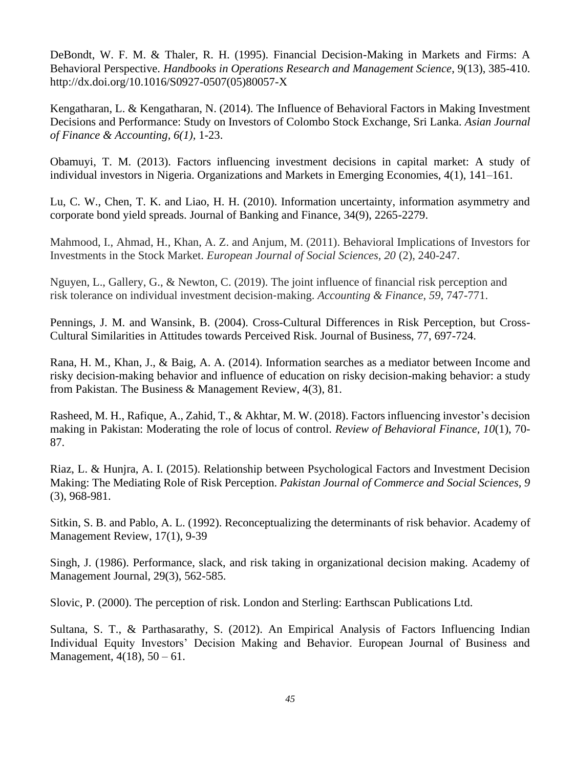DeBondt, W. F. M. & Thaler, R. H. (1995). Financial Decision-Making in Markets and Firms: A Behavioral Perspective. *Handbooks in Operations Research and Management Science*, 9(13), 385-410. http://dx.doi.org/10.1016/S0927-0507(05)80057-X

Kengatharan, L. & Kengatharan, N. (2014). The Influence of Behavioral Factors in Making Investment Decisions and Performance: Study on Investors of Colombo Stock Exchange, Sri Lanka. *Asian Journal of Finance & Accounting, 6(1),* 1-23.

Obamuyi, T. M. (2013). Factors influencing investment decisions in capital market: A study of individual investors in Nigeria. Organizations and Markets in Emerging Economies, 4(1), 141–161.

Lu, C. W., Chen, T. K. and Liao, H. H. (2010). Information uncertainty, information asymmetry and corporate bond yield spreads. Journal of Banking and Finance, 34(9), 2265-2279.

Mahmood, I., Ahmad, H., Khan, A. Z. and Anjum, M. (2011). Behavioral Implications of Investors for Investments in the Stock Market. *European Journal of Social Sciences, 20* (2), 240-247.

Nguyen, L., Gallery, G., & Newton, C. (2019). The joint influence of financial risk perception and risk tolerance on individual investment decision‐making. *Accounting & Finance*, *59*, 747-771.

Pennings, J. M. and Wansink, B. (2004). Cross-Cultural Differences in Risk Perception, but Cross-Cultural Similarities in Attitudes towards Perceived Risk. Journal of Business, 77, 697-724.

Rana, H. M., Khan, J., & Baig, A. A. (2014). Information searches as a mediator between Income and risky decision-making behavior and influence of education on risky decision-making behavior: a study from Pakistan. The Business & Management Review, 4(3), 81.

Rasheed, M. H., Rafique, A., Zahid, T., & Akhtar, M. W. (2018). Factors influencing investor's decision making in Pakistan: Moderating the role of locus of control. *Review of Behavioral Finance, 10*(1), 70- 87.

Riaz, L. & Hunjra, A. I. (2015). Relationship between Psychological Factors and Investment Decision Making: The Mediating Role of Risk Perception. *Pakistan Journal of Commerce and Social Sciences, 9*  (3), 968-981.

Sitkin, S. B. and Pablo, A. L. (1992). Reconceptualizing the determinants of risk behavior. Academy of Management Review, 17(1), 9-39

Singh, J. (1986). Performance, slack, and risk taking in organizational decision making. Academy of Management Journal, 29(3), 562-585.

Slovic, P. (2000). The perception of risk. London and Sterling: Earthscan Publications Ltd.

Sultana, S. T., & Parthasarathy, S. (2012). An Empirical Analysis of Factors Influencing Indian Individual Equity Investors' Decision Making and Behavior. European Journal of Business and Management,  $4(18)$ ,  $50 - 61$ .